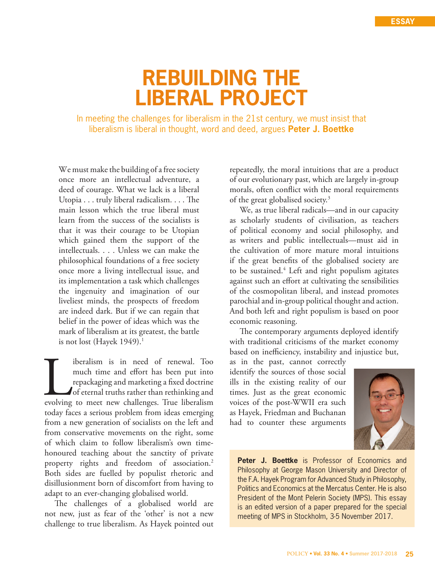# **REBUILDING THE LIBERAL PROJECT**

In meeting the challenges for liberalism in the 21st century, we must insist that liberalism is liberal in thought, word and deed, argues **Peter J. Boettke**

We must make the building of a free society once more an intellectual adventure, a deed of courage. What we lack is a liberal Utopia . . . truly liberal radicalism. . . . The main lesson which the true liberal must learn from the success of the socialists is that it was their courage to be Utopian which gained them the support of the intellectuals. . . . Unless we can make the philosophical foundations of a free society once more a living intellectual issue, and its implementation a task which challenges the ingenuity and imagination of our liveliest minds, the prospects of freedom are indeed dark. But if we can regain that belief in the power of ideas which was the mark of liberalism at its greatest, the battle is not lost (Hayek 1949).<sup>1</sup>

Iberalism is in need of renewal. Too much time and effort has been put into repackaging and marketing a fixed doctrine of eternal truths rather than rethinking and evolving to meet new challenges. True liberalism iberalism is in need of renewal. Too much time and effort has been put into repackaging and marketing a fixed doctrine of eternal truths rather than rethinking and today faces a serious problem from ideas emerging from a new generation of socialists on the left and from conservative movements on the right, some of which claim to follow liberalism's own timehonoured teaching about the sanctity of private property rights and freedom of association.<sup>2</sup> Both sides are fuelled by populist rhetoric and disillusionment born of discomfort from having to adapt to an ever-changing globalised world.

The challenges of a globalised world are not new, just as fear of the 'other' is not a new challenge to true liberalism. As Hayek pointed out

repeatedly, the moral intuitions that are a product of our evolutionary past, which are largely in-group morals, often conflict with the moral requirements of the great globalised society.3

We, as true liberal radicals—and in our capacity as scholarly students of civilisation, as teachers of political economy and social philosophy, and as writers and public intellectuals—must aid in the cultivation of more mature moral intuitions if the great benefits of the globalised society are to be sustained. $4$  Left and right populism agitates against such an effort at cultivating the sensibilities of the cosmopolitan liberal, and instead promotes parochial and in-group political thought and action. And both left and right populism is based on poor economic reasoning.

The contemporary arguments deployed identify with traditional criticisms of the market economy based on inefficiency, instability and injustice but,

as in the past, cannot correctly identify the sources of those social ills in the existing reality of our times. Just as the great economic voices of the post-WWII era such as Hayek, Friedman and Buchanan had to counter these arguments



**Peter J. Boettke** is Professor of Economics and Philosophy at George Mason University and Director of the F.A. Hayek Program for Advanced Study in Philosophy, Politics and Economics at the Mercatus Center. He is also President of the Mont Pelerin Society (MPS). This essay is an edited version of a paper prepared for the special meeting of MPS in Stockholm, 3-5 November 2017.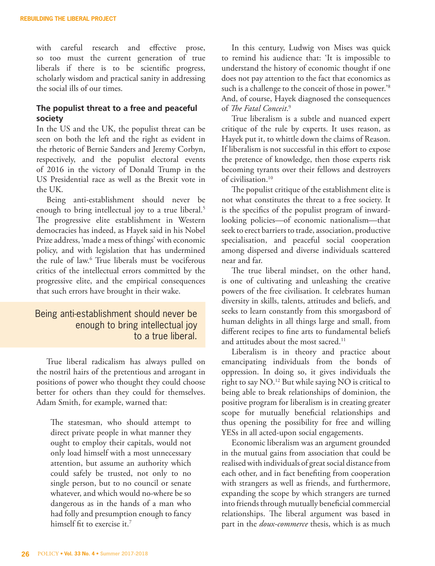with careful research and effective prose, so too must the current generation of true liberals if there is to be scientific progress, scholarly wisdom and practical sanity in addressing the social ills of our times.

#### **The populist threat to a free and peaceful society**

In the US and the UK, the populist threat can be seen on both the left and the right as evident in the rhetoric of Bernie Sanders and Jeremy Corbyn, respectively, and the populist electoral events of 2016 in the victory of Donald Trump in the US Presidential race as well as the Brexit vote in the UK.

Being anti-establishment should never be enough to bring intellectual joy to a true liberal.<sup>5</sup> The progressive elite establishment in Western democracies has indeed, as Hayek said in his Nobel Prize address, 'made a mess of things' with economic policy, and with legislation that has undermined the rule of law.6 True liberals must be vociferous critics of the intellectual errors committed by the progressive elite, and the empirical consequences that such errors have brought in their wake.

## Being anti-establishment should never be enough to bring intellectual joy to a true liberal.

True liberal radicalism has always pulled on the nostril hairs of the pretentious and arrogant in positions of power who thought they could choose better for others than they could for themselves. Adam Smith, for example, warned that:

The statesman, who should attempt to direct private people in what manner they ought to employ their capitals, would not only load himself with a most unnecessary attention, but assume an authority which could safely be trusted, not only to no single person, but to no council or senate whatever, and which would no-where be so dangerous as in the hands of a man who had folly and presumption enough to fancy himself fit to exercise it.<sup>7</sup>

In this century, Ludwig von Mises was quick to remind his audience that: 'It is impossible to understand the history of economic thought if one does not pay attention to the fact that economics as such is a challenge to the conceit of those in power.'8 And, of course, Hayek diagnosed the consequences of *The Fatal Conceit*. 9

True liberalism is a subtle and nuanced expert critique of the rule by experts. It uses reason, as Hayek put it, to whittle down the claims of Reason. If liberalism is not successful in this effort to expose the pretence of knowledge, then those experts risk becoming tyrants over their fellows and destroyers of civilisation.<sup>10</sup>

The populist critique of the establishment elite is not what constitutes the threat to a free society. It is the specifics of the populist program of inwardlooking policies—of economic nationalism—that seek to erect barriers to trade, association, productive specialisation, and peaceful social cooperation among dispersed and diverse individuals scattered near and far.

The true liberal mindset, on the other hand, is one of cultivating and unleashing the creative powers of the free civilisation. It celebrates human diversity in skills, talents, attitudes and beliefs, and seeks to learn constantly from this smorgasbord of human delights in all things large and small, from different recipes to fine arts to fundamental beliefs and attitudes about the most sacred.<sup>11</sup>

Liberalism is in theory and practice about emancipating individuals from the bonds of oppression. In doing so, it gives individuals the right to say NO.12 But while saying NO is critical to being able to break relationships of dominion, the positive program for liberalism is in creating greater scope for mutually beneficial relationships and thus opening the possibility for free and willing YESs in all acted-upon social engagements.

Economic liberalism was an argument grounded in the mutual gains from association that could be realised with individuals of great social distance from each other, and in fact benefiting from cooperation with strangers as well as friends, and furthermore, expanding the scope by which strangers are turned into friends through mutually beneficial commercial relationships. The liberal argument was based in part in the *doux-commerce* thesis, which is as much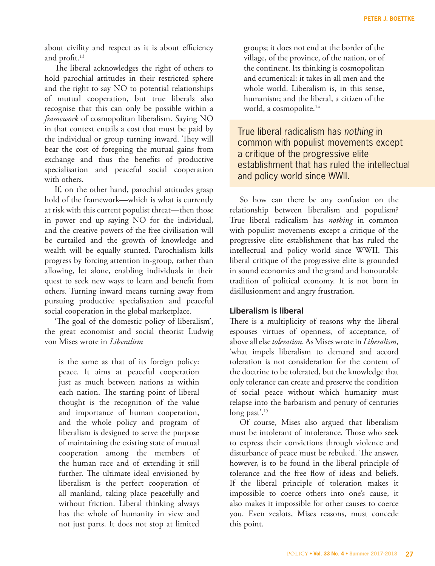about civility and respect as it is about efficiency and profit. $13$ 

The liberal acknowledges the right of others to hold parochial attitudes in their restricted sphere and the right to say NO to potential relationships of mutual cooperation, but true liberals also recognise that this can only be possible within a *framework* of cosmopolitan liberalism. Saying NO in that context entails a cost that must be paid by the individual or group turning inward. They will bear the cost of foregoing the mutual gains from exchange and thus the benefits of productive specialisation and peaceful social cooperation with others.

If, on the other hand, parochial attitudes grasp hold of the framework—which is what is currently at risk with this current populist threat—then those in power end up saying NO for the individual, and the creative powers of the free civilisation will be curtailed and the growth of knowledge and wealth will be equally stunted. Parochialism kills progress by forcing attention in-group, rather than allowing, let alone, enabling individuals in their quest to seek new ways to learn and benefit from others. Turning inward means turning away from pursuing productive specialisation and peaceful social cooperation in the global marketplace.

'The goal of the domestic policy of liberalism', the great economist and social theorist Ludwig von Mises wrote in *Liberalism* 

is the same as that of its foreign policy: peace. It aims at peaceful cooperation just as much between nations as within each nation. The starting point of liberal thought is the recognition of the value and importance of human cooperation, and the whole policy and program of liberalism is designed to serve the purpose of maintaining the existing state of mutual cooperation among the members of the human race and of extending it still further. The ultimate ideal envisioned by liberalism is the perfect cooperation of all mankind, taking place peacefully and without friction. Liberal thinking always has the whole of humanity in view and not just parts. It does not stop at limited

groups; it does not end at the border of the village, of the province, of the nation, or of the continent. Its thinking is cosmopolitan and ecumenical: it takes in all men and the whole world. Liberalism is, in this sense, humanism; and the liberal, a citizen of the world, a cosmopolite.<sup>14</sup>

True liberal radicalism has *nothing* in common with populist movements except a critique of the progressive elite establishment that has ruled the intellectual and policy world since WWII.

So how can there be any confusion on the relationship between liberalism and populism? True liberal radicalism has *nothing* in common with populist movements except a critique of the progressive elite establishment that has ruled the intellectual and policy world since WWII. This liberal critique of the progressive elite is grounded in sound economics and the grand and honourable tradition of political economy. It is not born in disillusionment and angry frustration.

#### **Liberalism is liberal**

There is a multiplicity of reasons why the liberal espouses virtues of openness, of acceptance, of above all else *toleration*. As Mises wrote in *Liberalism*, 'what impels liberalism to demand and accord toleration is not consideration for the content of the doctrine to be tolerated, but the knowledge that only tolerance can create and preserve the condition of social peace without which humanity must relapse into the barbarism and penury of centuries long past<sup>'.15</sup>

Of course, Mises also argued that liberalism must be intolerant of intolerance. Those who seek to express their convictions through violence and disturbance of peace must be rebuked. The answer, however, is to be found in the liberal principle of tolerance and the free flow of ideas and beliefs. If the liberal principle of toleration makes it impossible to coerce others into one's cause, it also makes it impossible for other causes to coerce you. Even zealots, Mises reasons, must concede this point.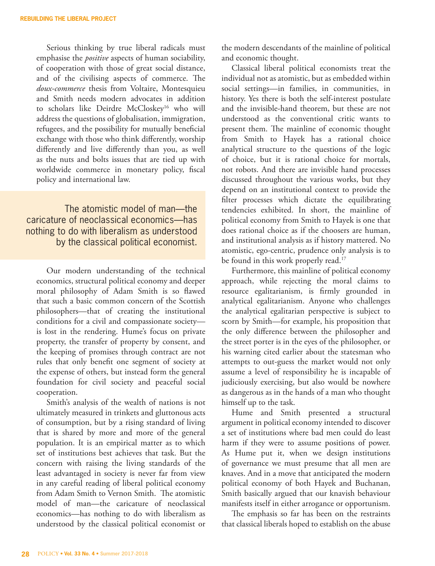Serious thinking by true liberal radicals must emphasise the *positive* aspects of human sociability, of cooperation with those of great social distance, and of the civilising aspects of commerce. The *doux-commerce* thesis from Voltaire, Montesquieu and Smith needs modern advocates in addition to scholars like Deirdre McCloskey<sup>16</sup> who will address the questions of globalisation, immigration, refugees, and the possibility for mutually beneficial exchange with those who think differently, worship differently and live differently than you, as well as the nuts and bolts issues that are tied up with worldwide commerce in monetary policy, fiscal policy and international law.

## The atomistic model of man—the caricature of neoclassical economics—has nothing to do with liberalism as understood by the classical political economist.

Our modern understanding of the technical economics, structural political economy and deeper moral philosophy of Adam Smith is so flawed that such a basic common concern of the Scottish philosophers—that of creating the institutional conditions for a civil and compassionate society is lost in the rendering. Hume's focus on private property, the transfer of property by consent, and the keeping of promises through contract are not rules that only benefit one segment of society at the expense of others, but instead form the general foundation for civil society and peaceful social cooperation.

Smith's analysis of the wealth of nations is not ultimately measured in trinkets and gluttonous acts of consumption, but by a rising standard of living that is shared by more and more of the general population. It is an empirical matter as to which set of institutions best achieves that task. But the concern with raising the living standards of the least advantaged in society is never far from view in any careful reading of liberal political economy from Adam Smith to Vernon Smith. The atomistic model of man—the caricature of neoclassical economics—has nothing to do with liberalism as understood by the classical political economist or the modern descendants of the mainline of political and economic thought.

Classical liberal political economists treat the individual not as atomistic, but as embedded within social settings—in families, in communities, in history. Yes there is both the self-interest postulate and the invisible-hand theorem, but these are not understood as the conventional critic wants to present them. The mainline of economic thought from Smith to Hayek has a rational choice analytical structure to the questions of the logic of choice, but it is rational choice for mortals, not robots. And there are invisible hand processes discussed throughout the various works, but they depend on an institutional context to provide the filter processes which dictate the equilibrating tendencies exhibited. In short, the mainline of political economy from Smith to Hayek is one that does rational choice as if the choosers are human, and institutional analysis as if history mattered. No atomistic, ego-centric, prudence only analysis is to be found in this work properly read.<sup>17</sup>

Furthermore, this mainline of political economy approach, while rejecting the moral claims to resource egalitarianism, is firmly grounded in analytical egalitarianism. Anyone who challenges the analytical egalitarian perspective is subject to scorn by Smith—for example, his proposition that the only difference between the philosopher and the street porter is in the eyes of the philosopher, or his warning cited earlier about the statesman who attempts to out-guess the market would not only assume a level of responsibility he is incapable of judiciously exercising, but also would be nowhere as dangerous as in the hands of a man who thought himself up to the task.

Hume and Smith presented a structural argument in political economy intended to discover a set of institutions where bad men could do least harm if they were to assume positions of power. As Hume put it, when we design institutions of governance we must presume that all men are knaves. And in a move that anticipated the modern political economy of both Hayek and Buchanan, Smith basically argued that our knavish behaviour manifests itself in either arrogance or opportunism.

The emphasis so far has been on the restraints that classical liberals hoped to establish on the abuse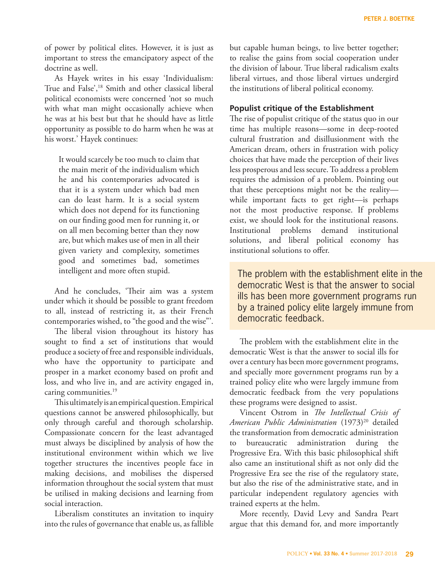of power by political elites. However, it is just as important to stress the emancipatory aspect of the doctrine as well.

As Hayek writes in his essay 'Individualism: True and False',18 Smith and other classical liberal political economists were concerned 'not so much with what man might occasionally achieve when he was at his best but that he should have as little opportunity as possible to do harm when he was at his worst.' Hayek continues:

It would scarcely be too much to claim that the main merit of the individualism which he and his contemporaries advocated is that it is a system under which bad men can do least harm. It is a social system which does not depend for its functioning on our finding good men for running it, or on all men becoming better than they now are, but which makes use of men in all their given variety and complexity, sometimes good and sometimes bad, sometimes intelligent and more often stupid.

And he concludes, 'Their aim was a system under which it should be possible to grant freedom to all, instead of restricting it, as their French contemporaries wished, to "the good and the wise"'.

The liberal vision throughout its history has sought to find a set of institutions that would produce a society of free and responsible individuals, who have the opportunity to participate and prosper in a market economy based on profit and loss, and who live in, and are activity engaged in, caring communities.<sup>19</sup>

This ultimately is an empirical question. Empirical questions cannot be answered philosophically, but only through careful and thorough scholarship. Compassionate concern for the least advantaged must always be disciplined by analysis of how the institutional environment within which we live together structures the incentives people face in making decisions, and mobilises the dispersed information throughout the social system that must be utilised in making decisions and learning from social interaction.

Liberalism constitutes an invitation to inquiry into the rules of governance that enable us, as fallible

but capable human beings, to live better together; to realise the gains from social cooperation under the division of labour. True liberal radicalism exalts liberal virtues, and those liberal virtues undergird the institutions of liberal political economy.

### **Populist critique of the Establishment**

The rise of populist critique of the status quo in our time has multiple reasons—some in deep-rooted cultural frustration and disillusionment with the American dream, others in frustration with policy choices that have made the perception of their lives less prosperous and less secure. To address a problem requires the admission of a problem. Pointing out that these perceptions might not be the reality while important facts to get right—is perhaps not the most productive response. If problems exist, we should look for the institutional reasons. Institutional problems demand institutional solutions, and liberal political economy has institutional solutions to offer.

The problem with the establishment elite in the democratic West is that the answer to social ills has been more government programs run by a trained policy elite largely immune from democratic feedback.

The problem with the establishment elite in the democratic West is that the answer to social ills for over a century has been more government programs, and specially more government programs run by a trained policy elite who were largely immune from democratic feedback from the very populations these programs were designed to assist.

Vincent Ostrom in *The Intellectual Crisis of American Public Administration* (1973)20 detailed the transformation from democratic administration to bureaucratic administration during the Progressive Era. With this basic philosophical shift also came an institutional shift as not only did the Progressive Era see the rise of the regulatory state, but also the rise of the administrative state, and in particular independent regulatory agencies with trained experts at the helm.

More recently, David Levy and Sandra Peart argue that this demand for, and more importantly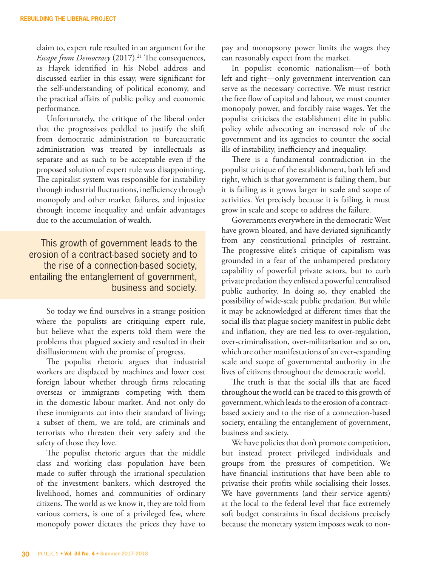claim to, expert rule resulted in an argument for the *Escape from Democracy* (2017).<sup>21</sup> The consequences, as Hayek identified in his Nobel address and discussed earlier in this essay, were significant for the self-understanding of political economy, and the practical affairs of public policy and economic performance.

Unfortunately, the critique of the liberal order that the progressives peddled to justify the shift from democratic administration to bureaucratic administration was treated by intellectuals as separate and as such to be acceptable even if the proposed solution of expert rule was disappointing. The capitalist system was responsible for instability through industrial fluctuations, inefficiency through monopoly and other market failures, and injustice through income inequality and unfair advantages due to the accumulation of wealth.

## This growth of government leads to the erosion of a contract-based society and to the rise of a connection-based society, entailing the entanglement of government, business and society.

So today we find ourselves in a strange position where the populists are critiquing expert rule, but believe what the experts told them were the problems that plagued society and resulted in their disillusionment with the promise of progress.

The populist rhetoric argues that industrial workers are displaced by machines and lower cost foreign labour whether through firms relocating overseas or immigrants competing with them in the domestic labour market. And not only do these immigrants cut into their standard of living; a subset of them, we are told, are criminals and terrorists who threaten their very safety and the safety of those they love.

The populist rhetoric argues that the middle class and working class population have been made to suffer through the irrational speculation of the investment bankers, which destroyed the livelihood, homes and communities of ordinary citizens. The world as we know it, they are told from various corners, is one of a privileged few, where monopoly power dictates the prices they have to

pay and monopsony power limits the wages they can reasonably expect from the market.

In populist economic nationalism—of both left and right—only government intervention can serve as the necessary corrective. We must restrict the free flow of capital and labour, we must counter monopoly power, and forcibly raise wages. Yet the populist criticises the establishment elite in public policy while advocating an increased role of the government and its agencies to counter the social ills of instability, inefficiency and inequality.

There is a fundamental contradiction in the populist critique of the establishment, both left and right, which is that government is failing them, but it is failing as it grows larger in scale and scope of activities. Yet precisely because it is failing, it must grow in scale and scope to address the failure.

Governments everywhere in the democratic West have grown bloated, and have deviated significantly from any constitutional principles of restraint. The progressive elite's critique of capitalism was grounded in a fear of the unhampered predatory capability of powerful private actors, but to curb private predation they enlisted a powerful centralised public authority. In doing so, they enabled the possibility of wide-scale public predation. But while it may be acknowledged at different times that the social ills that plague society manifest in public debt and inflation, they are tied less to over-regulation, over-criminalisation, over-militarisation and so on, which are other manifestations of an ever-expanding scale and scope of governmental authority in the lives of citizens throughout the democratic world.

The truth is that the social ills that are faced throughout the world can be traced to this growth of government, which leads to the erosion of a contractbased society and to the rise of a connection-based society, entailing the entanglement of government, business and society.

We have policies that don't promote competition, but instead protect privileged individuals and groups from the pressures of competition. We have financial institutions that have been able to privatise their profits while socialising their losses. We have governments (and their service agents) at the local to the federal level that face extremely soft budget constraints in fiscal decisions precisely because the monetary system imposes weak to non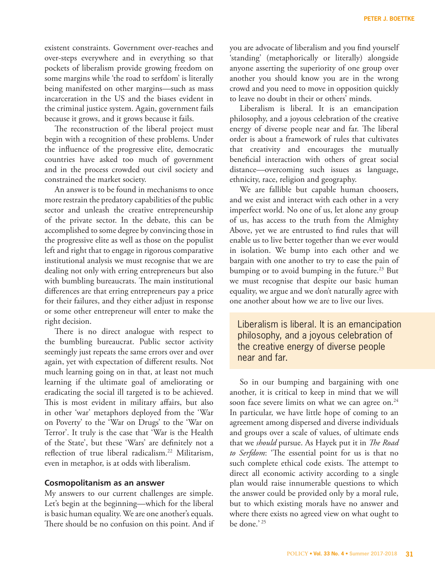existent constraints. Government over-reaches and over-steps everywhere and in everything so that pockets of liberalism provide growing freedom on some margins while 'the road to serfdom' is literally being manifested on other margins—such as mass incarceration in the US and the biases evident in the criminal justice system. Again, government fails because it grows, and it grows because it fails.

The reconstruction of the liberal project must begin with a recognition of these problems. Under the influence of the progressive elite, democratic countries have asked too much of government and in the process crowded out civil society and constrained the market society.

An answer is to be found in mechanisms to once more restrain the predatory capabilities of the public sector and unleash the creative entrepreneurship of the private sector. In the debate, this can be accomplished to some degree by convincing those in the progressive elite as well as those on the populist left and right that to engage in rigorous comparative institutional analysis we must recognise that we are dealing not only with erring entrepreneurs but also with bumbling bureaucrats. The main institutional differences are that erring entrepreneurs pay a price for their failures, and they either adjust in response or some other entrepreneur will enter to make the right decision.

There is no direct analogue with respect to the bumbling bureaucrat. Public sector activity seemingly just repeats the same errors over and over again, yet with expectation of different results. Not much learning going on in that, at least not much learning if the ultimate goal of ameliorating or eradicating the social ill targeted is to be achieved. This is most evident in military affairs, but also in other 'war' metaphors deployed from the 'War on Poverty' to the 'War on Drugs' to the 'War on Terror'. It truly is the case that 'War is the Health of the State', but these 'Wars' are definitely not a reflection of true liberal radicalism.<sup>22</sup> Militarism, even in metaphor, is at odds with liberalism.

#### **Cosmopolitanism as an answer**

My answers to our current challenges are simple. Let's begin at the beginning—which for the liberal is basic human equality. We are one another's equals. There should be no confusion on this point. And if you are advocate of liberalism and you find yourself 'standing' (metaphorically or literally) alongside anyone asserting the superiority of one group over another you should know you are in the wrong crowd and you need to move in opposition quickly to leave no doubt in their or others' minds.

Liberalism is liberal. It is an emancipation philosophy, and a joyous celebration of the creative energy of diverse people near and far. The liberal order is about a framework of rules that cultivates that creativity and encourages the mutually beneficial interaction with others of great social distance—overcoming such issues as language, ethnicity, race, religion and geography.

We are fallible but capable human choosers, and we exist and interact with each other in a very imperfect world. No one of us, let alone any group of us, has access to the truth from the Almighty Above, yet we are entrusted to find rules that will enable us to live better together than we ever would in isolation. We bump into each other and we bargain with one another to try to ease the pain of bumping or to avoid bumping in the future.<sup>23</sup> But we must recognise that despite our basic human equality, we argue and we don't naturally agree with one another about how we are to live our lives.

Liberalism is liberal. It is an emancipation philosophy, and a joyous celebration of the creative energy of diverse people near and far.

So in our bumping and bargaining with one another, it is critical to keep in mind that we will soon face severe limits on what we can agree on. $^{24}$ In particular, we have little hope of coming to an agreement among dispersed and diverse individuals and groups over a scale of values, of ultimate ends that we *should* pursue. As Hayek put it in *The Road to Serfdom*: 'The essential point for us is that no such complete ethical code exists. The attempt to direct all economic activity according to a single plan would raise innumerable questions to which the answer could be provided only by a moral rule, but to which existing morals have no answer and where there exists no agreed view on what ought to be done.' 25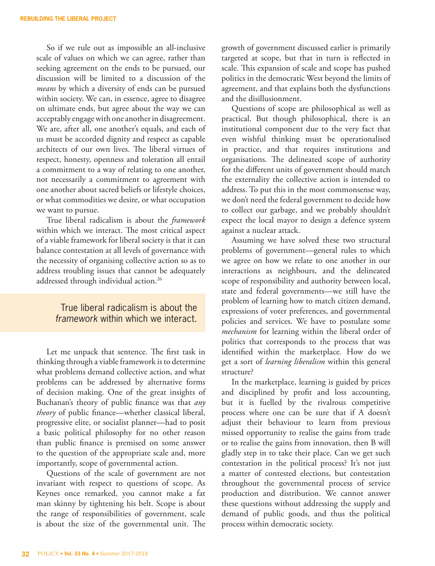So if we rule out as impossible an all-inclusive scale of values on which we can agree, rather than seeking agreement on the ends to be pursued, our discussion will be limited to a discussion of the *means* by which a diversity of ends can be pursued within society. We can, in essence, agree to disagree on ultimate ends, but agree about the way we can acceptably engage with one another in disagreement. We are, after all, one another's equals, and each of us must be accorded dignity and respect as capable architects of our own lives. The liberal virtues of respect, honesty, openness and toleration all entail a commitment to a way of relating to one another, not necessarily a commitment to agreement with one another about sacred beliefs or lifestyle choices, or what commodities we desire, or what occupation we want to pursue.

True liberal radicalism is about the *framework*  within which we interact. The most critical aspect of a viable framework for liberal society is that it can balance contestation at all levels of governance with the necessity of organising collective action so as to address troubling issues that cannot be adequately addressed through individual action.<sup>26</sup>

## True liberal radicalism is about the *framework* within which we interact.

Let me unpack that sentence. The first task in thinking through a viable framework is to determine what problems demand collective action, and what problems can be addressed by alternative forms of decision making. One of the great insights of Buchanan's theory of public finance was that *any theory* of public finance—whether classical liberal, progressive elite, or socialist planner—had to posit a basic political philosophy for no other reason than public finance is premised on some answer to the question of the appropriate scale and, more importantly, scope of governmental action.

Questions of the scale of government are not invariant with respect to questions of scope. As Keynes once remarked, you cannot make a fat man skinny by tightening his belt. Scope is about the range of responsibilities of government, scale is about the size of the governmental unit. The

growth of government discussed earlier is primarily targeted at scope, but that in turn is reflected in scale. This expansion of scale and scope has pushed politics in the democratic West beyond the limits of agreement, and that explains both the dysfunctions and the disillusionment.

Questions of scope are philosophical as well as practical. But though philosophical, there is an institutional component due to the very fact that even wishful thinking must be operationalised in practice, and that requires institutions and organisations. The delineated scope of authority for the different units of government should match the externality the collective action is intended to address. To put this in the most commonsense way, we don't need the federal government to decide how to collect our garbage, and we probably shouldn't expect the local mayor to design a defence system against a nuclear attack.

Assuming we have solved these two structural problems of government—general rules to which we agree on how we relate to one another in our interactions as neighbours, and the delineated scope of responsibility and authority between local, state and federal governments—we still have the problem of learning how to match citizen demand, expressions of voter preferences, and governmental policies and services. We have to postulate some *mechanism* for learning within the liberal order of politics that corresponds to the process that was identified within the marketplace. How do we get a sort of *learning liberalism* within this general structure?

In the marketplace, learning is guided by prices and disciplined by profit and loss accounting, but it is fuelled by the rivalrous competitive process where one can be sure that if A doesn't adjust their behaviour to learn from previous missed opportunity to realise the gains from trade or to realise the gains from innovation, then B will gladly step in to take their place. Can we get such contestation in the political process? It's not just a matter of contested elections, but contestation throughout the governmental process of service production and distribution. We cannot answer these questions without addressing the supply and demand of public goods, and thus the political process within democratic society.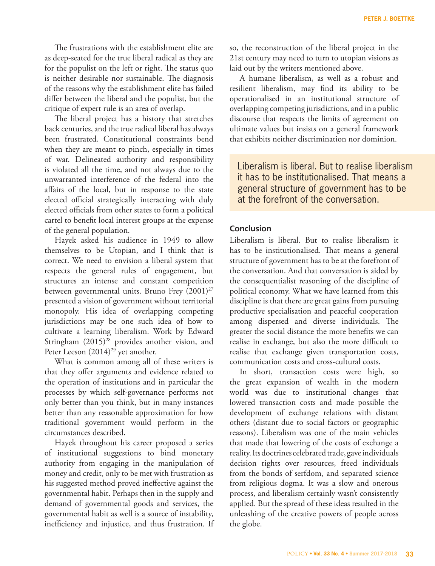The frustrations with the establishment elite are as deep-seated for the true liberal radical as they are for the populist on the left or right. The status quo is neither desirable nor sustainable. The diagnosis of the reasons why the establishment elite has failed differ between the liberal and the populist, but the critique of expert rule is an area of overlap.

The liberal project has a history that stretches back centuries, and the true radical liberal has always been frustrated. Constitutional constraints bend when they are meant to pinch, especially in times of war. Delineated authority and responsibility is violated all the time, and not always due to the unwarranted interference of the federal into the affairs of the local, but in response to the state elected official strategically interacting with duly elected officials from other states to form a political cartel to benefit local interest groups at the expense of the general population.

Hayek asked his audience in 1949 to allow themselves to be Utopian, and I think that is correct. We need to envision a liberal system that respects the general rules of engagement, but structures an intense and constant competition between governmental units. Bruno Frey  $(2001)^{27}$ presented a vision of government without territorial monopoly. His idea of overlapping competing jurisdictions may be one such idea of how to cultivate a learning liberalism. Work by Edward Stringham (2015)<sup>28</sup> provides another vision, and Peter Leeson  $(2014)^{29}$  yet another.

What is common among all of these writers is that they offer arguments and evidence related to the operation of institutions and in particular the processes by which self-governance performs not only better than you think, but in many instances better than any reasonable approximation for how traditional government would perform in the circumstances described.

Hayek throughout his career proposed a series of institutional suggestions to bind monetary authority from engaging in the manipulation of money and credit, only to be met with frustration as his suggested method proved ineffective against the governmental habit. Perhaps then in the supply and demand of governmental goods and services, the governmental habit as well is a source of instability, inefficiency and injustice, and thus frustration. If so, the reconstruction of the liberal project in the 21st century may need to turn to utopian visions as laid out by the writers mentioned above.

A humane liberalism, as well as a robust and resilient liberalism, may find its ability to be operationalised in an institutional structure of overlapping competing jurisdictions, and in a public discourse that respects the limits of agreement on ultimate values but insists on a general framework that exhibits neither discrimination nor dominion.

Liberalism is liberal. But to realise liberalism it has to be institutionalised. That means a general structure of government has to be at the forefront of the conversation.

#### **Conclusion**

Liberalism is liberal. But to realise liberalism it has to be institutionalised. That means a general structure of government has to be at the forefront of the conversation. And that conversation is aided by the consequentialist reasoning of the discipline of political economy. What we have learned from this discipline is that there are great gains from pursuing productive specialisation and peaceful cooperation among dispersed and diverse individuals. The greater the social distance the more benefits we can realise in exchange, but also the more difficult to realise that exchange given transportation costs, communication costs and cross-cultural costs.

In short, transaction costs were high, so the great expansion of wealth in the modern world was due to institutional changes that lowered transaction costs and made possible the development of exchange relations with distant others (distant due to social factors or geographic reasons). Liberalism was one of the main vehicles that made that lowering of the costs of exchange a reality. Its doctrines celebrated trade, gave individuals decision rights over resources, freed individuals from the bonds of serfdom, and separated science from religious dogma. It was a slow and onerous process, and liberalism certainly wasn't consistently applied. But the spread of these ideas resulted in the unleashing of the creative powers of people across the globe.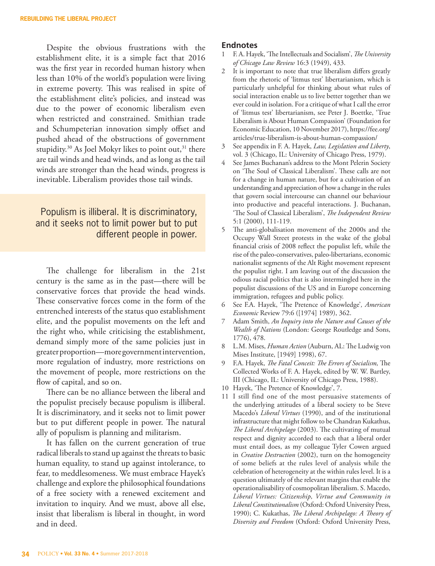Despite the obvious frustrations with the establishment elite, it is a simple fact that 2016 was the first year in recorded human history when less than 10% of the world's population were living in extreme poverty. This was realised in spite of the establishment elite's policies, and instead was due to the power of economic liberalism even when restricted and constrained. Smithian trade and Schumpeterian innovation simply offset and pushed ahead of the obstructions of government stupidity.<sup>30</sup> As Joel Mokyr likes to point out,<sup>31</sup> there are tail winds and head winds, and as long as the tail winds are stronger than the head winds, progress is inevitable. Liberalism provides those tail winds.

## Populism is illiberal. It is discriminatory, and it seeks not to limit power but to put different people in power.

The challenge for liberalism in the 21st century is the same as in the past—there will be conservative forces that provide the head winds. These conservative forces come in the form of the entrenched interests of the status quo establishment elite, and the populist movements on the left and the right who, while criticising the establishment, demand simply more of the same policies just in greater proportion—more government intervention, more regulation of industry, more restrictions on the movement of people, more restrictions on the flow of capital, and so on.

There can be no alliance between the liberal and the populist precisely because populism is illiberal. It is discriminatory, and it seeks not to limit power but to put different people in power. The natural ally of populism is planning and militarism.

It has fallen on the current generation of true radical liberals to stand up against the threats to basic human equality, to stand up against intolerance, to fear, to meddlesomeness. We must embrace Hayek's challenge and explore the philosophical foundations of a free society with a renewed excitement and invitation to inquiry. And we must, above all else, insist that liberalism is liberal in thought, in word and in deed.

#### **Endnotes**

- 1 F. A. Hayek, 'The Intellectuals and Socialism', *The University of Chicago Law Review* 16:3 (1949), 433.
- 2 It is important to note that true liberalism differs greatly from the rhetoric of 'litmus test' libertarianism, which is particularly unhelpful for thinking about what rules of social interaction enable us to live better together than we ever could in isolation. For a critique of what I call the error of 'litmus test' libertarianism, see Peter J. Boettke, 'True Liberalism is About Human Compassion' (Foundation for Economic Education, 10 November 2017), [https://fee.org/](https://fee.org/articles/true-liberalism-is-about-human-compassion/) [articles/true-liberalism-is-about-human-compassion/](https://fee.org/articles/true-liberalism-is-about-human-compassion/)
- 3 See appendix in F. A. Hayek, *Law, Legislation and Liberty*, vol. 3 (Chicago, IL: University of Chicago Press, 1979).
- See James Buchanan's address to the Mont Pelerin Society on 'The Soul of Classical Liberalism'. These calls are not for a change in human nature, but for a cultivation of an understanding and appreciation of how a change in the rules that govern social intercourse can channel our behaviour into productive and peaceful interactions. J. Buchanan, 'The Soul of Classical Liberalism', *The Independent Review*  5:1 (2000), 111-119.
- 5 The anti-globalisation movement of the 2000s and the Occupy Wall Street protests in the wake of the global financial crisis of 2008 reflect the populist left, while the rise of the paleo-conservatives, paleo-libertarians, economic nationalist segments of the Alt Right movement represent the populist right. I am leaving out of the discussion the odious racial politics that is also intermingled here in the populist discussions of the US and in Europe concerning immigration, refugees and public policy.
- 6 See F.A. Hayek, 'The Pretence of Knowledge'*, American Economic* Review 79:6 ([1974] 1989), 362.
- 7 Adam Smith, *An Inquiry into the Nature and Causes of the Wealth of Nations* (London: George Routledge and Sons, 1776), 478.
- 8 L.M. Mises, *Human Action* (Auburn, AL: The Ludwig von Mises Institute, [1949] 1998), 67.
- 9 F.A. Hayek, *The Fatal Conceit: The Errors of Socialism,* The Collected Works of F. A. Hayek, edited by W. W. Bartley, III (Chicago, IL: University of Chicago Press, 1988).
- 10 Hayek, 'The Pretence of Knowledge', 7.
- 11 I still find one of the most persuasive statements of the underlying attitudes of a liberal society to be Steve Macedo's *Liberal Virtues* (1990), and of the institutional infrastructure that might follow to be Chandran Kukathus, *The Liberal Archipelago* (2003). The cultivating of mutual respect and dignity accorded to each that a liberal order must entail does, as my colleague Tyler Cowen argued in *Creative Destruction* (2002), turn on the homogeneity of some beliefs at the rules level of analysis while the celebration of heterogeneity at the within rules level. It is a question ultimately of the relevant margins that enable the operationalisability of cosmopolitan liberalism. S. Macedo, *Liberal Virtues: Citizenship, Virtue and Community in Liberal Constitutionalism* (Oxford: Oxford University Press, 1990); C. Kukathas, *The Liberal Archipelago: A Theory of Diversity and Freedom* (Oxford: Oxford University Press,